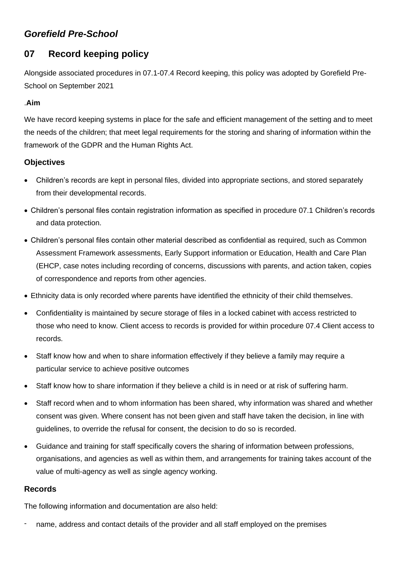# *Gorefield Pre-School*

# **07 Record keeping policy**

Alongside associated procedures in 07.1-07.4 Record keeping, this policy was adopted by Gorefield Pre-School on September 2021

## .**Aim**

We have record keeping systems in place for the safe and efficient management of the setting and to meet the needs of the children; that meet legal requirements for the storing and sharing of information within the framework of the GDPR and the Human Rights Act.

## **Objectives**

- Children's records are kept in personal files, divided into appropriate sections, and stored separately from their developmental records.
- Children's personal files contain registration information as specified in procedure 07.1 Children's records and data protection.
- Children's personal files contain other material described as confidential as required, such as Common Assessment Framework assessments, Early Support information or Education, Health and Care Plan (EHCP, case notes including recording of concerns, discussions with parents, and action taken, copies of correspondence and reports from other agencies.
- Ethnicity data is only recorded where parents have identified the ethnicity of their child themselves.
- Confidentiality is maintained by secure storage of files in a locked cabinet with access restricted to those who need to know. Client access to records is provided for within procedure 07.4 Client access to records.
- Staff know how and when to share information effectively if they believe a family may require a particular service to achieve positive outcomes
- Staff know how to share information if they believe a child is in need or at risk of suffering harm.
- Staff record when and to whom information has been shared, why information was shared and whether consent was given. Where consent has not been given and staff have taken the decision, in line with guidelines, to override the refusal for consent, the decision to do so is recorded.
- Guidance and training for staff specifically covers the sharing of information between professions, organisations, and agencies as well as within them, and arrangements for training takes account of the value of multi-agency as well as single agency working.

### **Records**

The following information and documentation are also held:

name, address and contact details of the provider and all staff employed on the premises